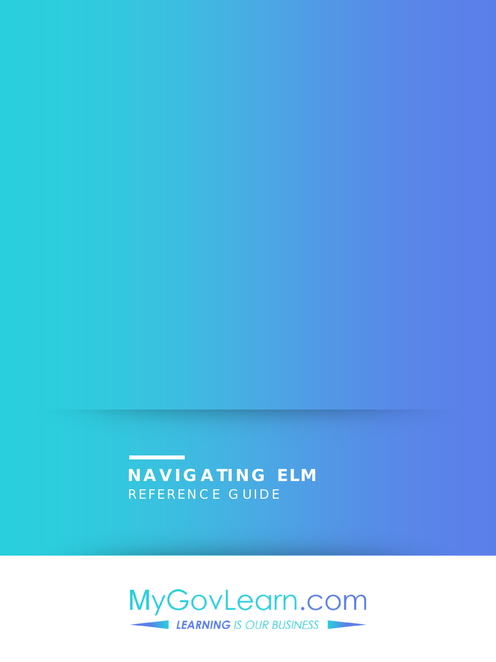### **NAVIGATING ELM** REFERENCE GUIDE

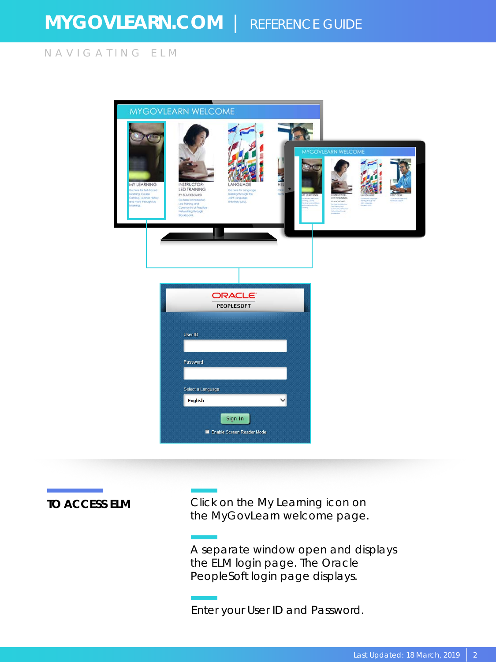NAVIGATING ELM

|                                                                                                                              | MYGOVLEARN WELCOME                                                                                                                                        |                                                                                                 |          |                                                                                                                                             |                  |  |
|------------------------------------------------------------------------------------------------------------------------------|-----------------------------------------------------------------------------------------------------------------------------------------------------------|-------------------------------------------------------------------------------------------------|----------|---------------------------------------------------------------------------------------------------------------------------------------------|------------------|--|
| <b>MY LEARNING</b><br>ig hare for Self-Paced<br>saming, Course<br>Catalog, Leamer History,<br>and more through My<br>saming. | INSTRUCTOR-<br>LED TRAINING<br>BY BLACKBOARD<br>Go hare for instructor-<br>Led franking and<br>Community of Practice<br>Networking through<br>Bigckbogrd. | LANGUAGE<br>Go here for Language<br>Training through the<br>Joint Language<br>University (JLU). | HEL<br>۵ | <b>MYGOVLEARN WELCOME</b><br>LED TRAINING<br>STANDBOARD.<br>College To Feburiers<br>Leaf Hammares<br>Communication of Hammar<br>share y fre | <b>APTORMADE</b> |  |
|                                                                                                                              | User ID<br>Password<br>Select a Language<br><b>English</b>                                                                                                | <b>ORACLE</b><br><b>PEOPLESOFT</b><br>Sign In<br>Enable Screen Reader Mode                      |          |                                                                                                                                             |                  |  |

**TO ACCESS ELM** Click on the My Learning icon on the MyGovLearn welcome page.

> A separate window open and displays the ELM login page. The Oracle PeopleSoft login page displays.

Enter your User ID and Password.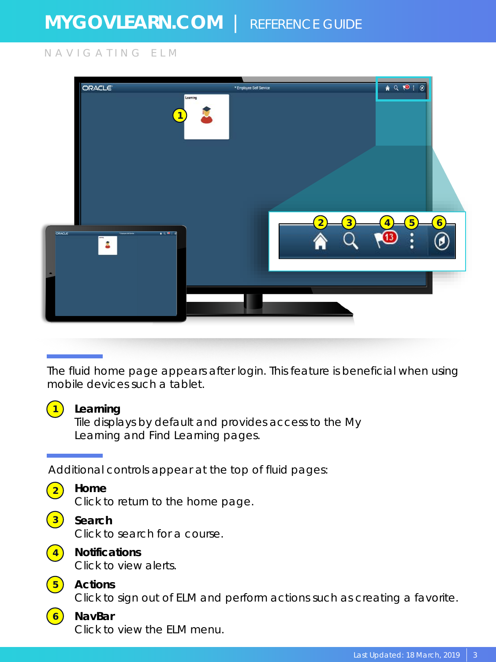### NAVIGATING ELM

|               | <b>ORACLE</b>                        | * Employee Self Service                   | $\bullet Q \bullet P : Q$                                        |
|---------------|--------------------------------------|-------------------------------------------|------------------------------------------------------------------|
|               | $\boxed{1}$                          | Learning                                  |                                                                  |
|               |                                      |                                           |                                                                  |
| <b>ORACLE</b> | 13972<br><b>Times in lines</b><br>Ŕ, | $\overline{\mathbf{3}}$<br>$\overline{2}$ | 5<br>$\overline{6}$<br>$\overline{4}$<br>$\left( 13\right)$<br>፡ |
|               |                                      |                                           |                                                                  |
|               |                                      |                                           |                                                                  |
|               |                                      |                                           |                                                                  |

### The fluid home page appears after login. This feature is beneficial when using mobile devices such a tablet.

### **1 Learning**

Tile displays by default and provides access to the My Learning and Find Learning pages.

Additional controls appear at the top of fluid pages:

| <b>CONTRACTOR</b>                                                                                              |  |
|----------------------------------------------------------------------------------------------------------------|--|
| and the state of the state of the state of the state of the state of the state of the state of the state of th |  |
| and the state of the state of the state of the state of the state of the state of the state of the state of th |  |
|                                                                                                                |  |

### **2 Home**

Click to return to the home page.

| <b>CONTRACTOR</b>           |  |
|-----------------------------|--|
| $\sim$<br><b>CONTRACTOR</b> |  |
|                             |  |

### **3 Search**

Click to search for a course.



### **4 Notifications**

Click to view alerts.



### Click to sign out of ELM and perform actions such as creating a favorite.

#### **6 NavBar** Click to view the ELM menu.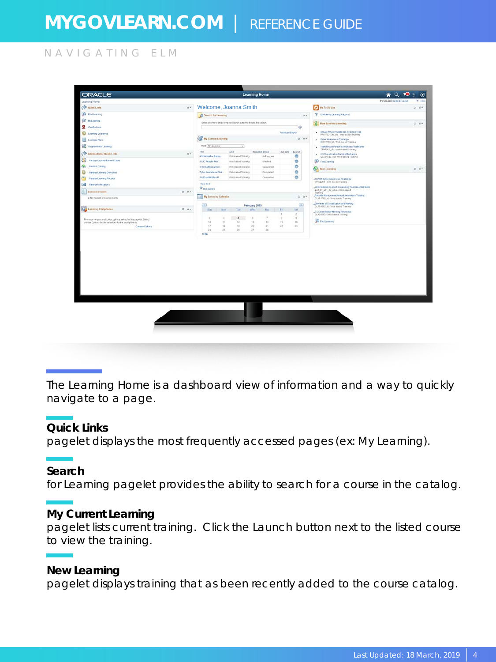NAVIGATING ELM

| Porsonalize Center#ILarout<br>Welcome, Joanna Smith<br>$\rightarrow$<br><b>Conce Links</b><br><b>Wy To Do List</b><br><b>Pediastra</b><br>P 1 University Available<br>C Search for Leasing<br>$0 +$<br>Unter a twinnid and solocithe Search button to initiate the salary.<br><b>D</b> <sup>1</sup> Woot Enrolled Learning<br><b>Q</b> Cettlcation<br>O.<br>Annual Physics Awareness for Employees<br><b><i>Adressed Secrits</i></b><br>٠<br>Learning Objectives<br>PRIV1001 to did - Wat-cased Training<br><b>THE By Current Learning</b><br>$0.9*$<br><b>Learning Plans</b><br>. Crost Akanness Chatenge<br>OAC1180, M - Web-based Flasking<br>West At Learning<br>Tripflosing in Persons Awareness Refresher<br>٠<br>pressing osses-date right rights<br>Title<br>Type<br><b>Roquired Dates</b><br>Doe Sele<br>Learch<br>Administrator Grick Links<br>$n +$<br>(U) Classification training Mechanics<br>í.<br>۰<br>Abrahabite Sicon<br>Web-basied Trusteez<br><b>BiProgress</b><br>CLAD1503_ckt-Web-based Training<br>æ<br>Manage Ladmer Rolated Tacks<br>ø<br><b>P</b> Find Learning<br>AN C Awayte Trod.<br><b>Lordinal</b><br>With-babad Training<br>ø<br><b>Mainten Catalog</b><br>Arbena Recognitor.<br>Webased Transing<br>Compared<br><b>New Exercise</b><br>ø<br>o<br>Oder Awareness Chat.<br>This-based Truining<br>Completed<br><b>Manage Learning Objectives</b><br>ø<br>AD Classification M.<br>Vine-based Training<br>Companie<br>čb)<br>Manuge Leoming Reports<br><b>JUPER Cybes Awareness Challenge</b><br>OAC220 - Web-bered Training<br>Ven N(8)<br>Administrative Support Cereograp Your Rasental SHEL<br><b>Wayteseng</b><br>222,01_201_32_sous - meb-haped<br>Abronouncements<br>$2 - 0 +$<br>Training<br>Rocords Management Annual Avianness Training<br>14 My Loarning Colember<br>0.97<br>e (in Current Announcements)<br>CLAS1700 Mr. Web baced Training<br>Clements of Classification and Harving<br>$\langle \mu \rangle$<br>February 2019<br>o.<br>CLAD1002.td - Web based Training<br>Les Learning Compliance<br>$0.9*$<br>Tal'<br>Mix<br>Time<br>Wed<br>Thu<br>560<br>Tel.<br>.C.C.Classification Marking Mechanics<br>CLASSED - Web-based Training<br>٠<br>z<br>ģ,<br>з<br>$\begin{array}{c} 0 \\ 0 \end{array}$<br>×<br>$\beta$<br>$\ddot{\rm s}$<br>Y.<br>There are no per sonalization callions set up for this pagelet. Select<br>PrintLeaning<br>10<br>11<br>12<br>11<br>14<br>15<br>16<br>chose Options list to sellusiues for the prompt fields.<br>21<br>$\bar{z}$<br>$23 -$<br>17<br>$12-$<br><b>TS</b><br>$20 -$<br>Choose Options<br>24<br>37<br>26<br>25<br>20<br><b>Teday</b> | Learning Home<br><b>SE Militarino</b><br>0.67<br>e.<br>$0.0*$<br><b>Dell</b> Manage Netfleatons | SE SIGNIFIERS LESINGS | <b>ORACLE</b> | <b>Learning Home</b> |            |
|-----------------------------------------------------------------------------------------------------------------------------------------------------------------------------------------------------------------------------------------------------------------------------------------------------------------------------------------------------------------------------------------------------------------------------------------------------------------------------------------------------------------------------------------------------------------------------------------------------------------------------------------------------------------------------------------------------------------------------------------------------------------------------------------------------------------------------------------------------------------------------------------------------------------------------------------------------------------------------------------------------------------------------------------------------------------------------------------------------------------------------------------------------------------------------------------------------------------------------------------------------------------------------------------------------------------------------------------------------------------------------------------------------------------------------------------------------------------------------------------------------------------------------------------------------------------------------------------------------------------------------------------------------------------------------------------------------------------------------------------------------------------------------------------------------------------------------------------------------------------------------------------------------------------------------------------------------------------------------------------------------------------------------------------------------------------------------------------------------------------------------------------------------------------------------------------------------------------------------------------------------------------------------------------------------------------------------------------------------------------------------------------------------------------------------------------------------------------------------------------------------------------------------------------------------------------------------------------------------------------------------|-------------------------------------------------------------------------------------------------|-----------------------|---------------|----------------------|------------|
|                                                                                                                                                                                                                                                                                                                                                                                                                                                                                                                                                                                                                                                                                                                                                                                                                                                                                                                                                                                                                                                                                                                                                                                                                                                                                                                                                                                                                                                                                                                                                                                                                                                                                                                                                                                                                                                                                                                                                                                                                                                                                                                                                                                                                                                                                                                                                                                                                                                                                                                                                                                                                             |                                                                                                 |                       |               |                      | $9 - 1466$ |
|                                                                                                                                                                                                                                                                                                                                                                                                                                                                                                                                                                                                                                                                                                                                                                                                                                                                                                                                                                                                                                                                                                                                                                                                                                                                                                                                                                                                                                                                                                                                                                                                                                                                                                                                                                                                                                                                                                                                                                                                                                                                                                                                                                                                                                                                                                                                                                                                                                                                                                                                                                                                                             |                                                                                                 |                       |               |                      | $0.6*$     |
|                                                                                                                                                                                                                                                                                                                                                                                                                                                                                                                                                                                                                                                                                                                                                                                                                                                                                                                                                                                                                                                                                                                                                                                                                                                                                                                                                                                                                                                                                                                                                                                                                                                                                                                                                                                                                                                                                                                                                                                                                                                                                                                                                                                                                                                                                                                                                                                                                                                                                                                                                                                                                             |                                                                                                 |                       |               |                      |            |
|                                                                                                                                                                                                                                                                                                                                                                                                                                                                                                                                                                                                                                                                                                                                                                                                                                                                                                                                                                                                                                                                                                                                                                                                                                                                                                                                                                                                                                                                                                                                                                                                                                                                                                                                                                                                                                                                                                                                                                                                                                                                                                                                                                                                                                                                                                                                                                                                                                                                                                                                                                                                                             |                                                                                                 |                       |               |                      |            |
|                                                                                                                                                                                                                                                                                                                                                                                                                                                                                                                                                                                                                                                                                                                                                                                                                                                                                                                                                                                                                                                                                                                                                                                                                                                                                                                                                                                                                                                                                                                                                                                                                                                                                                                                                                                                                                                                                                                                                                                                                                                                                                                                                                                                                                                                                                                                                                                                                                                                                                                                                                                                                             |                                                                                                 |                       |               |                      |            |
|                                                                                                                                                                                                                                                                                                                                                                                                                                                                                                                                                                                                                                                                                                                                                                                                                                                                                                                                                                                                                                                                                                                                                                                                                                                                                                                                                                                                                                                                                                                                                                                                                                                                                                                                                                                                                                                                                                                                                                                                                                                                                                                                                                                                                                                                                                                                                                                                                                                                                                                                                                                                                             |                                                                                                 |                       |               |                      |            |
|                                                                                                                                                                                                                                                                                                                                                                                                                                                                                                                                                                                                                                                                                                                                                                                                                                                                                                                                                                                                                                                                                                                                                                                                                                                                                                                                                                                                                                                                                                                                                                                                                                                                                                                                                                                                                                                                                                                                                                                                                                                                                                                                                                                                                                                                                                                                                                                                                                                                                                                                                                                                                             |                                                                                                 |                       |               |                      |            |
|                                                                                                                                                                                                                                                                                                                                                                                                                                                                                                                                                                                                                                                                                                                                                                                                                                                                                                                                                                                                                                                                                                                                                                                                                                                                                                                                                                                                                                                                                                                                                                                                                                                                                                                                                                                                                                                                                                                                                                                                                                                                                                                                                                                                                                                                                                                                                                                                                                                                                                                                                                                                                             |                                                                                                 |                       |               |                      |            |
|                                                                                                                                                                                                                                                                                                                                                                                                                                                                                                                                                                                                                                                                                                                                                                                                                                                                                                                                                                                                                                                                                                                                                                                                                                                                                                                                                                                                                                                                                                                                                                                                                                                                                                                                                                                                                                                                                                                                                                                                                                                                                                                                                                                                                                                                                                                                                                                                                                                                                                                                                                                                                             |                                                                                                 |                       |               |                      |            |
|                                                                                                                                                                                                                                                                                                                                                                                                                                                                                                                                                                                                                                                                                                                                                                                                                                                                                                                                                                                                                                                                                                                                                                                                                                                                                                                                                                                                                                                                                                                                                                                                                                                                                                                                                                                                                                                                                                                                                                                                                                                                                                                                                                                                                                                                                                                                                                                                                                                                                                                                                                                                                             |                                                                                                 |                       |               |                      |            |
|                                                                                                                                                                                                                                                                                                                                                                                                                                                                                                                                                                                                                                                                                                                                                                                                                                                                                                                                                                                                                                                                                                                                                                                                                                                                                                                                                                                                                                                                                                                                                                                                                                                                                                                                                                                                                                                                                                                                                                                                                                                                                                                                                                                                                                                                                                                                                                                                                                                                                                                                                                                                                             |                                                                                                 |                       |               |                      |            |
|                                                                                                                                                                                                                                                                                                                                                                                                                                                                                                                                                                                                                                                                                                                                                                                                                                                                                                                                                                                                                                                                                                                                                                                                                                                                                                                                                                                                                                                                                                                                                                                                                                                                                                                                                                                                                                                                                                                                                                                                                                                                                                                                                                                                                                                                                                                                                                                                                                                                                                                                                                                                                             |                                                                                                 |                       |               |                      |            |
|                                                                                                                                                                                                                                                                                                                                                                                                                                                                                                                                                                                                                                                                                                                                                                                                                                                                                                                                                                                                                                                                                                                                                                                                                                                                                                                                                                                                                                                                                                                                                                                                                                                                                                                                                                                                                                                                                                                                                                                                                                                                                                                                                                                                                                                                                                                                                                                                                                                                                                                                                                                                                             |                                                                                                 |                       |               |                      |            |
|                                                                                                                                                                                                                                                                                                                                                                                                                                                                                                                                                                                                                                                                                                                                                                                                                                                                                                                                                                                                                                                                                                                                                                                                                                                                                                                                                                                                                                                                                                                                                                                                                                                                                                                                                                                                                                                                                                                                                                                                                                                                                                                                                                                                                                                                                                                                                                                                                                                                                                                                                                                                                             |                                                                                                 |                       |               |                      |            |
|                                                                                                                                                                                                                                                                                                                                                                                                                                                                                                                                                                                                                                                                                                                                                                                                                                                                                                                                                                                                                                                                                                                                                                                                                                                                                                                                                                                                                                                                                                                                                                                                                                                                                                                                                                                                                                                                                                                                                                                                                                                                                                                                                                                                                                                                                                                                                                                                                                                                                                                                                                                                                             |                                                                                                 |                       |               |                      |            |
|                                                                                                                                                                                                                                                                                                                                                                                                                                                                                                                                                                                                                                                                                                                                                                                                                                                                                                                                                                                                                                                                                                                                                                                                                                                                                                                                                                                                                                                                                                                                                                                                                                                                                                                                                                                                                                                                                                                                                                                                                                                                                                                                                                                                                                                                                                                                                                                                                                                                                                                                                                                                                             |                                                                                                 |                       |               |                      |            |
|                                                                                                                                                                                                                                                                                                                                                                                                                                                                                                                                                                                                                                                                                                                                                                                                                                                                                                                                                                                                                                                                                                                                                                                                                                                                                                                                                                                                                                                                                                                                                                                                                                                                                                                                                                                                                                                                                                                                                                                                                                                                                                                                                                                                                                                                                                                                                                                                                                                                                                                                                                                                                             |                                                                                                 |                       |               |                      |            |
|                                                                                                                                                                                                                                                                                                                                                                                                                                                                                                                                                                                                                                                                                                                                                                                                                                                                                                                                                                                                                                                                                                                                                                                                                                                                                                                                                                                                                                                                                                                                                                                                                                                                                                                                                                                                                                                                                                                                                                                                                                                                                                                                                                                                                                                                                                                                                                                                                                                                                                                                                                                                                             |                                                                                                 |                       |               |                      |            |
|                                                                                                                                                                                                                                                                                                                                                                                                                                                                                                                                                                                                                                                                                                                                                                                                                                                                                                                                                                                                                                                                                                                                                                                                                                                                                                                                                                                                                                                                                                                                                                                                                                                                                                                                                                                                                                                                                                                                                                                                                                                                                                                                                                                                                                                                                                                                                                                                                                                                                                                                                                                                                             |                                                                                                 |                       |               |                      |            |
|                                                                                                                                                                                                                                                                                                                                                                                                                                                                                                                                                                                                                                                                                                                                                                                                                                                                                                                                                                                                                                                                                                                                                                                                                                                                                                                                                                                                                                                                                                                                                                                                                                                                                                                                                                                                                                                                                                                                                                                                                                                                                                                                                                                                                                                                                                                                                                                                                                                                                                                                                                                                                             |                                                                                                 |                       |               |                      |            |
|                                                                                                                                                                                                                                                                                                                                                                                                                                                                                                                                                                                                                                                                                                                                                                                                                                                                                                                                                                                                                                                                                                                                                                                                                                                                                                                                                                                                                                                                                                                                                                                                                                                                                                                                                                                                                                                                                                                                                                                                                                                                                                                                                                                                                                                                                                                                                                                                                                                                                                                                                                                                                             |                                                                                                 |                       |               |                      |            |
|                                                                                                                                                                                                                                                                                                                                                                                                                                                                                                                                                                                                                                                                                                                                                                                                                                                                                                                                                                                                                                                                                                                                                                                                                                                                                                                                                                                                                                                                                                                                                                                                                                                                                                                                                                                                                                                                                                                                                                                                                                                                                                                                                                                                                                                                                                                                                                                                                                                                                                                                                                                                                             |                                                                                                 |                       |               |                      |            |
|                                                                                                                                                                                                                                                                                                                                                                                                                                                                                                                                                                                                                                                                                                                                                                                                                                                                                                                                                                                                                                                                                                                                                                                                                                                                                                                                                                                                                                                                                                                                                                                                                                                                                                                                                                                                                                                                                                                                                                                                                                                                                                                                                                                                                                                                                                                                                                                                                                                                                                                                                                                                                             |                                                                                                 |                       |               |                      |            |
|                                                                                                                                                                                                                                                                                                                                                                                                                                                                                                                                                                                                                                                                                                                                                                                                                                                                                                                                                                                                                                                                                                                                                                                                                                                                                                                                                                                                                                                                                                                                                                                                                                                                                                                                                                                                                                                                                                                                                                                                                                                                                                                                                                                                                                                                                                                                                                                                                                                                                                                                                                                                                             |                                                                                                 |                       |               |                      |            |
|                                                                                                                                                                                                                                                                                                                                                                                                                                                                                                                                                                                                                                                                                                                                                                                                                                                                                                                                                                                                                                                                                                                                                                                                                                                                                                                                                                                                                                                                                                                                                                                                                                                                                                                                                                                                                                                                                                                                                                                                                                                                                                                                                                                                                                                                                                                                                                                                                                                                                                                                                                                                                             |                                                                                                 |                       |               |                      |            |
|                                                                                                                                                                                                                                                                                                                                                                                                                                                                                                                                                                                                                                                                                                                                                                                                                                                                                                                                                                                                                                                                                                                                                                                                                                                                                                                                                                                                                                                                                                                                                                                                                                                                                                                                                                                                                                                                                                                                                                                                                                                                                                                                                                                                                                                                                                                                                                                                                                                                                                                                                                                                                             |                                                                                                 |                       |               |                      |            |
|                                                                                                                                                                                                                                                                                                                                                                                                                                                                                                                                                                                                                                                                                                                                                                                                                                                                                                                                                                                                                                                                                                                                                                                                                                                                                                                                                                                                                                                                                                                                                                                                                                                                                                                                                                                                                                                                                                                                                                                                                                                                                                                                                                                                                                                                                                                                                                                                                                                                                                                                                                                                                             |                                                                                                 |                       |               |                      |            |
|                                                                                                                                                                                                                                                                                                                                                                                                                                                                                                                                                                                                                                                                                                                                                                                                                                                                                                                                                                                                                                                                                                                                                                                                                                                                                                                                                                                                                                                                                                                                                                                                                                                                                                                                                                                                                                                                                                                                                                                                                                                                                                                                                                                                                                                                                                                                                                                                                                                                                                                                                                                                                             |                                                                                                 |                       |               |                      |            |
|                                                                                                                                                                                                                                                                                                                                                                                                                                                                                                                                                                                                                                                                                                                                                                                                                                                                                                                                                                                                                                                                                                                                                                                                                                                                                                                                                                                                                                                                                                                                                                                                                                                                                                                                                                                                                                                                                                                                                                                                                                                                                                                                                                                                                                                                                                                                                                                                                                                                                                                                                                                                                             |                                                                                                 |                       |               |                      |            |
|                                                                                                                                                                                                                                                                                                                                                                                                                                                                                                                                                                                                                                                                                                                                                                                                                                                                                                                                                                                                                                                                                                                                                                                                                                                                                                                                                                                                                                                                                                                                                                                                                                                                                                                                                                                                                                                                                                                                                                                                                                                                                                                                                                                                                                                                                                                                                                                                                                                                                                                                                                                                                             |                                                                                                 |                       |               |                      |            |

The Learning Home is a dashboard view of information and a way to quickly navigate to a page.

#### **Quick Links**

pagelet displays the most frequently accessed pages (ex: My Learning).

#### **Search**

for Learning pagelet provides the ability to search for a course in the catalog.

### **My Current Learning**

pagelet lists current training. Click the Launch button next to the listed course to view the training.

#### **New Learning**

pagelet displays training that as been recently added to the course catalog.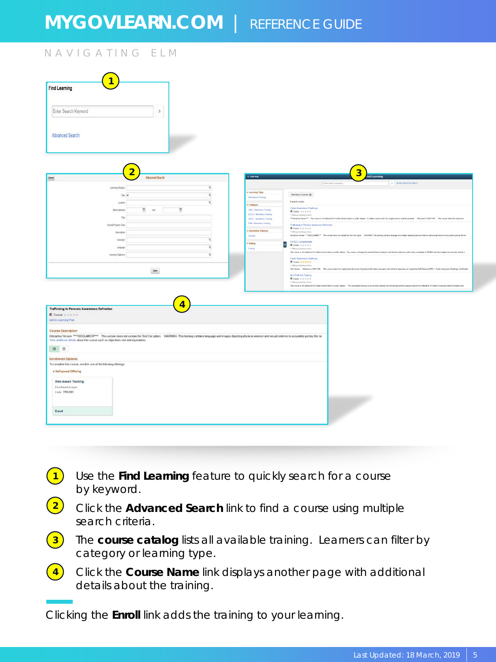### NAVIGATING ELM

| Enter Search Keyword<br>$\mathbf{S}$<br>Advanced Search<br>$\overline{2}$<br>$\overline{3}$<br>ad Learning<br><b>K Learning</b><br>Advanced Search<br><b>Use Buick Keyword</b><br>2   Mality Advanced Sweets<br>Q<br>Learning Calegory<br>- Learning Type<br>$\mathfrak{a}$<br>Mandaton Courses @<br>Tox 34<br><b>Web Bacod Training</b><br><b>Banach reads</b><br>$\overline{a}$<br>Lights<br>$=$ Category<br>Cyber Awareness Challenge<br>Ħ<br>$\Xi$ or<br><b>Bars latest</b><br><b>CAC-Mextery Treng</b><br><b>Bismerstan</b><br><b>CLCC-Medidas Trerey</b><br>COMma meching school<br><b>Dist</b><br><b>OPSE</b> - Manienry Transmy<br>"Thiractes Vessel" The capace not advanced to future desertation a polici share. To other consecuent, A.L. pape (economist) becaused. Web per to OACYON The copyright map the separate<br><b>TPA-Meximizy Training</b><br>CoinsPrague Date<br>Traffcking in Persons Awareness Refresher<br>$0$ Come $x + 1 + 1$<br>- Upcoming Classes<br><b>Couriston</b><br>1 (thing nuclear chees)<br>Найдой Укова, ""DOCLAMBE". Вы жива выш от сатак во Гео Ох сарак. Владеей. Вы манету соглась первар ата марк воздерждат нажна най внизи от вышему респу вы на<br>trying<br>$\mathbb Q$<br>leature<br>OFSEC Fungenerates<br>- Rating<br>u.<br><b>B Cure Irms 6 6</b><br>$\alpha$<br>Leguage<br><b>Conting</b><br>13 Main a man base in hairs<br>This course is not authorized by futbook to announce or public reliance. This cause is enough the preside fectual explanation and belowd system with a basic tensorbing of OPSEC and have been implembenessed as<br>$\mathbf{Q}$<br>Learning Chiestron<br><b>Cyber Awareness Challenge</b><br><b>BONN HEEEE</b><br>1 China Authors Ulara<br>Set Vision : Shikone to DISCTIN . This cause ment the readments for aread Opratoral Information Assesses (A) offering accorded as togeted by OVD Dracted WINT, "Cylin Assesses October (et Fusion<br>$_{\rm{Oup}}$<br>No FICAR Art Training<br><b>Boneverse</b><br>1 Okean to day choic<br>This course is not authorized to futher Suservicescore public relates. This mediatest training course printed assess with the background and payment and modulation of Federal Circums and double-transitions and<br>Interactive Version ****DISCLAMER**** This version does not contain the Test Cut option VWRNNS: This training contains language and images depicting physical violence and sexual violence to accurately portray the na<br>Vew additional details about the course such as objectives met and equivalents<br>□ Ⅲ<br>- Self-paced Offering<br>Web-based Training<br><b>Confinent</b> is open<br>Code TPA1001<br>Enroll |                                                                                            |  |
|--------------------------------------------------------------------------------------------------------------------------------------------------------------------------------------------------------------------------------------------------------------------------------------------------------------------------------------------------------------------------------------------------------------------------------------------------------------------------------------------------------------------------------------------------------------------------------------------------------------------------------------------------------------------------------------------------------------------------------------------------------------------------------------------------------------------------------------------------------------------------------------------------------------------------------------------------------------------------------------------------------------------------------------------------------------------------------------------------------------------------------------------------------------------------------------------------------------------------------------------------------------------------------------------------------------------------------------------------------------------------------------------------------------------------------------------------------------------------------------------------------------------------------------------------------------------------------------------------------------------------------------------------------------------------------------------------------------------------------------------------------------------------------------------------------------------------------------------------------------------------------------------------------------------------------------------------------------------------------------------------------------------------------------------------------------------------------------------------------------------------------------------------------------------------------------------------------------------------------------------------------------------------------------------------------------------------------------------------------------------------------------------------------------------------------------------------------------------------------------------------------------------------------------------------------------------------------------------------------------------------------------------------------------------|--------------------------------------------------------------------------------------------|--|
|                                                                                                                                                                                                                                                                                                                                                                                                                                                                                                                                                                                                                                                                                                                                                                                                                                                                                                                                                                                                                                                                                                                                                                                                                                                                                                                                                                                                                                                                                                                                                                                                                                                                                                                                                                                                                                                                                                                                                                                                                                                                                                                                                                                                                                                                                                                                                                                                                                                                                                                                                                                                                                                                    | <b>Find Learning</b>                                                                       |  |
|                                                                                                                                                                                                                                                                                                                                                                                                                                                                                                                                                                                                                                                                                                                                                                                                                                                                                                                                                                                                                                                                                                                                                                                                                                                                                                                                                                                                                                                                                                                                                                                                                                                                                                                                                                                                                                                                                                                                                                                                                                                                                                                                                                                                                                                                                                                                                                                                                                                                                                                                                                                                                                                                    |                                                                                            |  |
|                                                                                                                                                                                                                                                                                                                                                                                                                                                                                                                                                                                                                                                                                                                                                                                                                                                                                                                                                                                                                                                                                                                                                                                                                                                                                                                                                                                                                                                                                                                                                                                                                                                                                                                                                                                                                                                                                                                                                                                                                                                                                                                                                                                                                                                                                                                                                                                                                                                                                                                                                                                                                                                                    |                                                                                            |  |
|                                                                                                                                                                                                                                                                                                                                                                                                                                                                                                                                                                                                                                                                                                                                                                                                                                                                                                                                                                                                                                                                                                                                                                                                                                                                                                                                                                                                                                                                                                                                                                                                                                                                                                                                                                                                                                                                                                                                                                                                                                                                                                                                                                                                                                                                                                                                                                                                                                                                                                                                                                                                                                                                    |                                                                                            |  |
|                                                                                                                                                                                                                                                                                                                                                                                                                                                                                                                                                                                                                                                                                                                                                                                                                                                                                                                                                                                                                                                                                                                                                                                                                                                                                                                                                                                                                                                                                                                                                                                                                                                                                                                                                                                                                                                                                                                                                                                                                                                                                                                                                                                                                                                                                                                                                                                                                                                                                                                                                                                                                                                                    | Censel                                                                                     |  |
|                                                                                                                                                                                                                                                                                                                                                                                                                                                                                                                                                                                                                                                                                                                                                                                                                                                                                                                                                                                                                                                                                                                                                                                                                                                                                                                                                                                                                                                                                                                                                                                                                                                                                                                                                                                                                                                                                                                                                                                                                                                                                                                                                                                                                                                                                                                                                                                                                                                                                                                                                                                                                                                                    |                                                                                            |  |
|                                                                                                                                                                                                                                                                                                                                                                                                                                                                                                                                                                                                                                                                                                                                                                                                                                                                                                                                                                                                                                                                                                                                                                                                                                                                                                                                                                                                                                                                                                                                                                                                                                                                                                                                                                                                                                                                                                                                                                                                                                                                                                                                                                                                                                                                                                                                                                                                                                                                                                                                                                                                                                                                    |                                                                                            |  |
|                                                                                                                                                                                                                                                                                                                                                                                                                                                                                                                                                                                                                                                                                                                                                                                                                                                                                                                                                                                                                                                                                                                                                                                                                                                                                                                                                                                                                                                                                                                                                                                                                                                                                                                                                                                                                                                                                                                                                                                                                                                                                                                                                                                                                                                                                                                                                                                                                                                                                                                                                                                                                                                                    |                                                                                            |  |
|                                                                                                                                                                                                                                                                                                                                                                                                                                                                                                                                                                                                                                                                                                                                                                                                                                                                                                                                                                                                                                                                                                                                                                                                                                                                                                                                                                                                                                                                                                                                                                                                                                                                                                                                                                                                                                                                                                                                                                                                                                                                                                                                                                                                                                                                                                                                                                                                                                                                                                                                                                                                                                                                    |                                                                                            |  |
|                                                                                                                                                                                                                                                                                                                                                                                                                                                                                                                                                                                                                                                                                                                                                                                                                                                                                                                                                                                                                                                                                                                                                                                                                                                                                                                                                                                                                                                                                                                                                                                                                                                                                                                                                                                                                                                                                                                                                                                                                                                                                                                                                                                                                                                                                                                                                                                                                                                                                                                                                                                                                                                                    |                                                                                            |  |
|                                                                                                                                                                                                                                                                                                                                                                                                                                                                                                                                                                                                                                                                                                                                                                                                                                                                                                                                                                                                                                                                                                                                                                                                                                                                                                                                                                                                                                                                                                                                                                                                                                                                                                                                                                                                                                                                                                                                                                                                                                                                                                                                                                                                                                                                                                                                                                                                                                                                                                                                                                                                                                                                    |                                                                                            |  |
|                                                                                                                                                                                                                                                                                                                                                                                                                                                                                                                                                                                                                                                                                                                                                                                                                                                                                                                                                                                                                                                                                                                                                                                                                                                                                                                                                                                                                                                                                                                                                                                                                                                                                                                                                                                                                                                                                                                                                                                                                                                                                                                                                                                                                                                                                                                                                                                                                                                                                                                                                                                                                                                                    |                                                                                            |  |
|                                                                                                                                                                                                                                                                                                                                                                                                                                                                                                                                                                                                                                                                                                                                                                                                                                                                                                                                                                                                                                                                                                                                                                                                                                                                                                                                                                                                                                                                                                                                                                                                                                                                                                                                                                                                                                                                                                                                                                                                                                                                                                                                                                                                                                                                                                                                                                                                                                                                                                                                                                                                                                                                    |                                                                                            |  |
|                                                                                                                                                                                                                                                                                                                                                                                                                                                                                                                                                                                                                                                                                                                                                                                                                                                                                                                                                                                                                                                                                                                                                                                                                                                                                                                                                                                                                                                                                                                                                                                                                                                                                                                                                                                                                                                                                                                                                                                                                                                                                                                                                                                                                                                                                                                                                                                                                                                                                                                                                                                                                                                                    |                                                                                            |  |
|                                                                                                                                                                                                                                                                                                                                                                                                                                                                                                                                                                                                                                                                                                                                                                                                                                                                                                                                                                                                                                                                                                                                                                                                                                                                                                                                                                                                                                                                                                                                                                                                                                                                                                                                                                                                                                                                                                                                                                                                                                                                                                                                                                                                                                                                                                                                                                                                                                                                                                                                                                                                                                                                    |                                                                                            |  |
|                                                                                                                                                                                                                                                                                                                                                                                                                                                                                                                                                                                                                                                                                                                                                                                                                                                                                                                                                                                                                                                                                                                                                                                                                                                                                                                                                                                                                                                                                                                                                                                                                                                                                                                                                                                                                                                                                                                                                                                                                                                                                                                                                                                                                                                                                                                                                                                                                                                                                                                                                                                                                                                                    |                                                                                            |  |
|                                                                                                                                                                                                                                                                                                                                                                                                                                                                                                                                                                                                                                                                                                                                                                                                                                                                                                                                                                                                                                                                                                                                                                                                                                                                                                                                                                                                                                                                                                                                                                                                                                                                                                                                                                                                                                                                                                                                                                                                                                                                                                                                                                                                                                                                                                                                                                                                                                                                                                                                                                                                                                                                    |                                                                                            |  |
|                                                                                                                                                                                                                                                                                                                                                                                                                                                                                                                                                                                                                                                                                                                                                                                                                                                                                                                                                                                                                                                                                                                                                                                                                                                                                                                                                                                                                                                                                                                                                                                                                                                                                                                                                                                                                                                                                                                                                                                                                                                                                                                                                                                                                                                                                                                                                                                                                                                                                                                                                                                                                                                                    |                                                                                            |  |
|                                                                                                                                                                                                                                                                                                                                                                                                                                                                                                                                                                                                                                                                                                                                                                                                                                                                                                                                                                                                                                                                                                                                                                                                                                                                                                                                                                                                                                                                                                                                                                                                                                                                                                                                                                                                                                                                                                                                                                                                                                                                                                                                                                                                                                                                                                                                                                                                                                                                                                                                                                                                                                                                    |                                                                                            |  |
|                                                                                                                                                                                                                                                                                                                                                                                                                                                                                                                                                                                                                                                                                                                                                                                                                                                                                                                                                                                                                                                                                                                                                                                                                                                                                                                                                                                                                                                                                                                                                                                                                                                                                                                                                                                                                                                                                                                                                                                                                                                                                                                                                                                                                                                                                                                                                                                                                                                                                                                                                                                                                                                                    |                                                                                            |  |
|                                                                                                                                                                                                                                                                                                                                                                                                                                                                                                                                                                                                                                                                                                                                                                                                                                                                                                                                                                                                                                                                                                                                                                                                                                                                                                                                                                                                                                                                                                                                                                                                                                                                                                                                                                                                                                                                                                                                                                                                                                                                                                                                                                                                                                                                                                                                                                                                                                                                                                                                                                                                                                                                    | Trafficking in Persons Awareness Refresher<br>Course <i>shink</i><br>Add to Learning Plan. |  |
|                                                                                                                                                                                                                                                                                                                                                                                                                                                                                                                                                                                                                                                                                                                                                                                                                                                                                                                                                                                                                                                                                                                                                                                                                                                                                                                                                                                                                                                                                                                                                                                                                                                                                                                                                                                                                                                                                                                                                                                                                                                                                                                                                                                                                                                                                                                                                                                                                                                                                                                                                                                                                                                                    | Course Description                                                                         |  |
|                                                                                                                                                                                                                                                                                                                                                                                                                                                                                                                                                                                                                                                                                                                                                                                                                                                                                                                                                                                                                                                                                                                                                                                                                                                                                                                                                                                                                                                                                                                                                                                                                                                                                                                                                                                                                                                                                                                                                                                                                                                                                                                                                                                                                                                                                                                                                                                                                                                                                                                                                                                                                                                                    |                                                                                            |  |
|                                                                                                                                                                                                                                                                                                                                                                                                                                                                                                                                                                                                                                                                                                                                                                                                                                                                                                                                                                                                                                                                                                                                                                                                                                                                                                                                                                                                                                                                                                                                                                                                                                                                                                                                                                                                                                                                                                                                                                                                                                                                                                                                                                                                                                                                                                                                                                                                                                                                                                                                                                                                                                                                    |                                                                                            |  |
|                                                                                                                                                                                                                                                                                                                                                                                                                                                                                                                                                                                                                                                                                                                                                                                                                                                                                                                                                                                                                                                                                                                                                                                                                                                                                                                                                                                                                                                                                                                                                                                                                                                                                                                                                                                                                                                                                                                                                                                                                                                                                                                                                                                                                                                                                                                                                                                                                                                                                                                                                                                                                                                                    | <b>Enrollment Options</b>                                                                  |  |
|                                                                                                                                                                                                                                                                                                                                                                                                                                                                                                                                                                                                                                                                                                                                                                                                                                                                                                                                                                                                                                                                                                                                                                                                                                                                                                                                                                                                                                                                                                                                                                                                                                                                                                                                                                                                                                                                                                                                                                                                                                                                                                                                                                                                                                                                                                                                                                                                                                                                                                                                                                                                                                                                    | To complete this course, enroll in one of the following offerings:                         |  |
|                                                                                                                                                                                                                                                                                                                                                                                                                                                                                                                                                                                                                                                                                                                                                                                                                                                                                                                                                                                                                                                                                                                                                                                                                                                                                                                                                                                                                                                                                                                                                                                                                                                                                                                                                                                                                                                                                                                                                                                                                                                                                                                                                                                                                                                                                                                                                                                                                                                                                                                                                                                                                                                                    |                                                                                            |  |
|                                                                                                                                                                                                                                                                                                                                                                                                                                                                                                                                                                                                                                                                                                                                                                                                                                                                                                                                                                                                                                                                                                                                                                                                                                                                                                                                                                                                                                                                                                                                                                                                                                                                                                                                                                                                                                                                                                                                                                                                                                                                                                                                                                                                                                                                                                                                                                                                                                                                                                                                                                                                                                                                    |                                                                                            |  |
|                                                                                                                                                                                                                                                                                                                                                                                                                                                                                                                                                                                                                                                                                                                                                                                                                                                                                                                                                                                                                                                                                                                                                                                                                                                                                                                                                                                                                                                                                                                                                                                                                                                                                                                                                                                                                                                                                                                                                                                                                                                                                                                                                                                                                                                                                                                                                                                                                                                                                                                                                                                                                                                                    |                                                                                            |  |
|                                                                                                                                                                                                                                                                                                                                                                                                                                                                                                                                                                                                                                                                                                                                                                                                                                                                                                                                                                                                                                                                                                                                                                                                                                                                                                                                                                                                                                                                                                                                                                                                                                                                                                                                                                                                                                                                                                                                                                                                                                                                                                                                                                                                                                                                                                                                                                                                                                                                                                                                                                                                                                                                    |                                                                                            |  |
|                                                                                                                                                                                                                                                                                                                                                                                                                                                                                                                                                                                                                                                                                                                                                                                                                                                                                                                                                                                                                                                                                                                                                                                                                                                                                                                                                                                                                                                                                                                                                                                                                                                                                                                                                                                                                                                                                                                                                                                                                                                                                                                                                                                                                                                                                                                                                                                                                                                                                                                                                                                                                                                                    |                                                                                            |  |
|                                                                                                                                                                                                                                                                                                                                                                                                                                                                                                                                                                                                                                                                                                                                                                                                                                                                                                                                                                                                                                                                                                                                                                                                                                                                                                                                                                                                                                                                                                                                                                                                                                                                                                                                                                                                                                                                                                                                                                                                                                                                                                                                                                                                                                                                                                                                                                                                                                                                                                                                                                                                                                                                    |                                                                                            |  |
|                                                                                                                                                                                                                                                                                                                                                                                                                                                                                                                                                                                                                                                                                                                                                                                                                                                                                                                                                                                                                                                                                                                                                                                                                                                                                                                                                                                                                                                                                                                                                                                                                                                                                                                                                                                                                                                                                                                                                                                                                                                                                                                                                                                                                                                                                                                                                                                                                                                                                                                                                                                                                                                                    |                                                                                            |  |
|                                                                                                                                                                                                                                                                                                                                                                                                                                                                                                                                                                                                                                                                                                                                                                                                                                                                                                                                                                                                                                                                                                                                                                                                                                                                                                                                                                                                                                                                                                                                                                                                                                                                                                                                                                                                                                                                                                                                                                                                                                                                                                                                                                                                                                                                                                                                                                                                                                                                                                                                                                                                                                                                    |                                                                                            |  |

- **1** Use the **Find Learning** feature to quickly search for a course by keyword.
- **2** Click the **Advanced Search** link to find a course using multiple search criteria.
- **3** The **course catalog** lists all available training. Learners can filter by category or learning type.
- **4** Click the **Course Name** link displays another page with additional details about the training.

Clicking the **Enroll** link adds the training to your learning.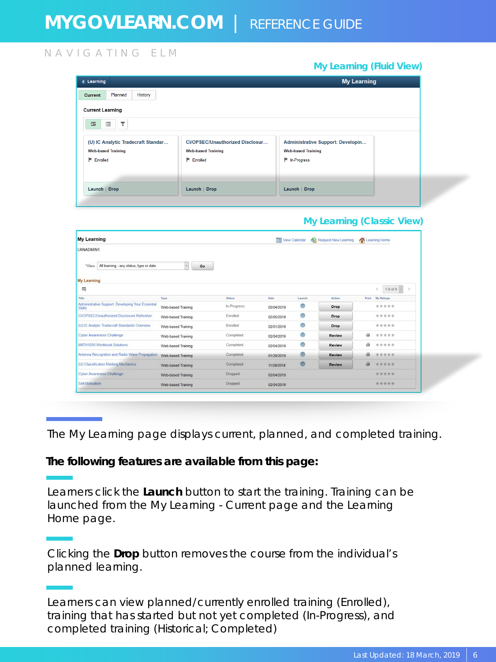### NAVIGATING ELM

#### *My Learning (Fluid View)* **My Learning** C Learning Current Planned History **Current Learning**  $\Xi$ ET CI/OPSEC/Unauthorized Disclosur... (U) IC Analytic Tradecraft Standar... Administrative Support: Developin... **Web-based Training Web-based Training Web-based Training**  $\mathsf{F}$  Enrolled  $F$  Enrolled <del>■</del> In-Progress Launch | Drop Launch | Drop Launch | Drop

### *My Learning (Classic View)*

| <b>My Learning</b>                                                |                    |                |            | <b>TIM</b> View Calendar | Request New Learning | Learning Home               |
|-------------------------------------------------------------------|--------------------|----------------|------------|--------------------------|----------------------|-----------------------------|
| LRNADMIN1                                                         |                    |                |            |                          |                      |                             |
| All learning - any status, type or date<br>"View                  | $\omega$<br>Go     |                |            |                          |                      |                             |
| My Learning                                                       |                    |                |            |                          |                      |                             |
| 羁                                                                 |                    |                |            |                          |                      | $1-9$ of $9 -$<br>×         |
| Title                                                             | Type               | <b>Stature</b> | Date       | Launch                   | <b>Action</b>        | <b>My Ratings</b><br>Print. |
| Administrative Support Developing Your Essential<br><b>Skills</b> | Web-based Training | In-Progress    | 02/04/2019 | ®                        | Drop                 | *****                       |
| CI/OPSEC/Unauthorized Disclosure Refresher                        | Web-based Training | Enrolled       | 02/05/2019 | $^{\circ}$               | Drop                 | *****                       |
| (U) IC Analytic Tradecraft Standards Overview                     | Web-based Training | Enrolled       | 02/01/2019 | $^{\circ}$               | Drop                 | *****                       |
| Cyber Awareness Challenge                                         | Web-based Training | Completed      | 02/04/2019 | ®                        | Review               | éis<br>*****                |
| MATH1030 Workbook Solutions                                       | Web-based Training | Completed      | 02/04/2019 | Ø                        | Review               | ä<br>*****                  |
| Antenna Recognition and Radio Wave Propagation.                   | Web-based Training | Completed      | 01/29/2019 | $^{\circ}$               | <b>Review</b>        | *****                       |
| (U) Classification Marking Mechanics                              | Web-based Training | Completed      | 11/28/2018 | $\circledcirc$           | <b>Review</b>        | 器<br>*****                  |
| Cyber Awareness Challenge                                         | Web-based Training | <b>Dropped</b> | 02/04/2019 |                          |                      | *****                       |
| Self Motivation                                                   | Web-based Training | Dropped        | 02/04/2019 |                          |                      | *****                       |

The My Learning page displays current, planned, and completed training.

### **The following features are available from this page:**

Learners click the **Launch** button to start the training. Training can be launched from the My Learning - Current page and the Learning Home page.

Clicking the **Drop** button removes the course from the individual's planned learning.

Learners can view planned/currently enrolled training (*Enrolled*), training that has started but not yet completed (*In-Progress*), and completed training (*Historical; Completed*)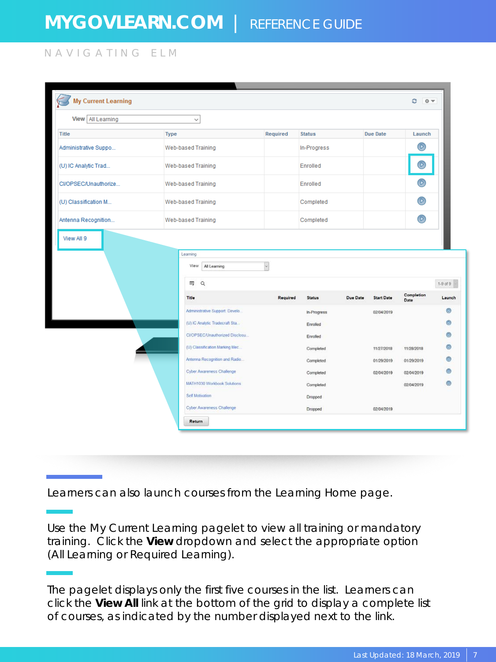NAVIGATING ELM

| <b>My Current Learning</b> |                                                                   |            |                      |          |                   | e            |                                                     |
|----------------------------|-------------------------------------------------------------------|------------|----------------------|----------|-------------------|--------------|-----------------------------------------------------|
| View All Learning          | $\checkmark$                                                      |            |                      |          |                   |              |                                                     |
| <b>Title</b>               | <b>Type</b>                                                       | Required   | <b>Status</b>        |          | <b>Due Date</b>   | Launch       |                                                     |
| Administrative Suppo       | Web-based Training                                                |            | In-Progress          |          |                   | $\mathsf{P}$ |                                                     |
| (U) IC Analytic Trad       | Web-based Training                                                |            | Enrolled             |          |                   |              |                                                     |
| CI/OPSEC/Unauthorize       | Web-based Training                                                |            | Enrolled             |          |                   |              |                                                     |
| (U) Classification M       | Web-based Training                                                |            | Completed            |          |                   | $\circ$      |                                                     |
| Antenna Recognition        | Web-based Training                                                |            | Completed            |          |                   | $\odot$      |                                                     |
|                            | Learning                                                          |            |                      |          |                   |              |                                                     |
|                            | View<br>All Learning<br>$\mathsf Q$<br>羁                          | $\backsim$ |                      |          |                   | Completion   |                                                     |
|                            | Title                                                             | Required   | <b>Status</b>        | Due Date | <b>Start Date</b> | Date         |                                                     |
|                            | Administrative Support: Develo.<br>(U) IC Analytic Tradecraft Sta |            | In-Progress          |          | 02/04/2019        |              |                                                     |
|                            | CI/OPSEC/Unauthorized Disclosu                                    |            | Enrolled<br>Enrolled |          |                   |              |                                                     |
|                            | (U) Classification Marking Mec.                                   |            | Completed            |          | 11/27/2018        | 11/28/2018   |                                                     |
|                            | Antenna Recognition and Radio                                     |            | Completed            |          | 01/29/2019        | 01/29/2019   | $1-9$ of $9$<br>Launch<br>۰<br>$^{\circ}$<br>۵<br>ග |
|                            | Cyber Awareness Challenge                                         |            | Completed            |          | 02/04/2019        | 02/04/2019   |                                                     |
|                            | MATH1030 Workbook Solutions                                       |            | Completed            |          |                   | 02/04/2019   | ۰                                                   |
|                            | Self Motivation                                                   |            | Dropped              |          |                   |              |                                                     |

Learners can also launch courses from the Learning Home page.

Use the My Current Learning pagelet to view all training or mandatory training. Click the **View** dropdown and select the appropriate option (All Learning or Required Learning).

The pagelet displays only the first five courses in the list. Learners can click the **View All** link at the bottom of the grid to display a complete list of courses, as indicated by the number displayed next to the link.